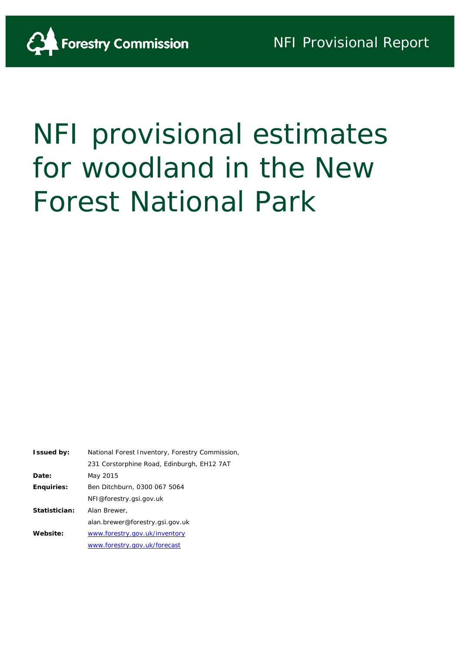

# NFI provisional estimates for woodland in the New Forest National Park

| <b>Issued by:</b> | National Forest Inventory, Forestry Commission, |
|-------------------|-------------------------------------------------|
|                   | 231 Corstorphine Road, Edinburgh, EH12 7AT      |
| Date:             | May 2015                                        |
| <b>Enquiries:</b> | Ben Ditchburn, 0300 067 5064                    |
|                   | NFI@forestry.gsi.gov.uk                         |
| Statistician:     | Alan Brewer,                                    |
|                   | alan.brewer@forestry.gsi.gov.uk                 |
| Website:          | www.forestry.gov.uk/inventory                   |
|                   | www.forestry.gov.uk/forecast                    |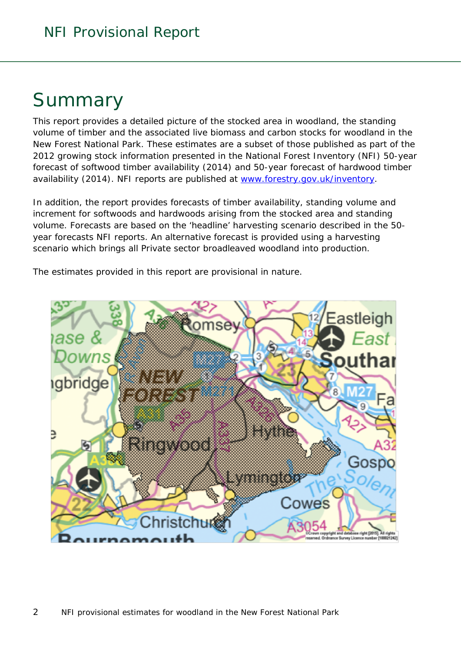## Summary

This report provides a detailed picture of the stocked area in woodland, the standing volume of timber and the associated live biomass and carbon stocks for woodland in the New Forest National Park. These estimates are a subset of those published as part of the 2012 growing stock information presented in the National Forest Inventory (NFI) *50-year forecast of softwood timber availability* (2014) and *50-year forecast of hardwood timber availability* (2014). NFI reports are published at [www.forestry.gov.uk/inventory.](http://www.forestry.gov.uk/inventory)

In addition, the report provides forecasts of timber availability, standing volume and increment for softwoods and hardwoods arising from the stocked area and standing volume. Forecasts are based on the 'headline' harvesting scenario described in the 50 year forecasts NFI reports. An alternative forecast is provided using a harvesting scenario which brings all Private sector broadleaved woodland into production.

The estimates provided in this report are provisional in nature.

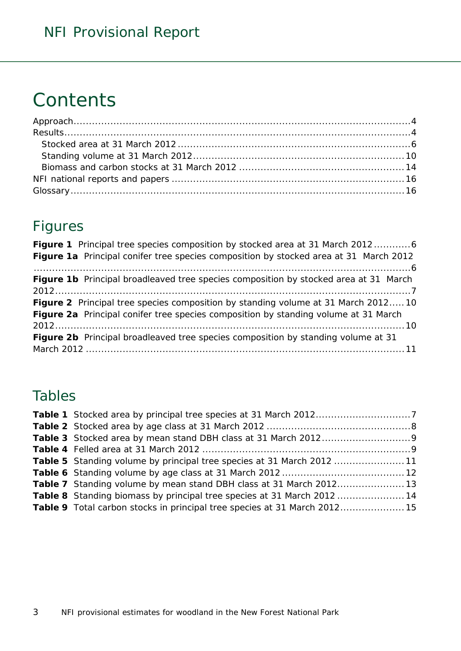## **Contents**

### Figures

| <b>Figure 1</b> Principal tree species composition by stocked area at 31 March 20126     |
|------------------------------------------------------------------------------------------|
| Figure 1a Principal conifer tree species composition by stocked area at 31 March 2012    |
|                                                                                          |
| Figure 1b Principal broadleaved tree species composition by stocked area at 31 March     |
|                                                                                          |
| Figure 2 Principal tree species composition by standing volume at 31 March 2012 10       |
| Figure 2a Principal conifer tree species composition by standing volume at 31 March      |
|                                                                                          |
| <b>Figure 2b</b> Principal broadleaved tree species composition by standing volume at 31 |
|                                                                                          |

### Tables

| <b>Table 5</b> Standing volume by principal tree species at 31 March 2012 11  |  |
|-------------------------------------------------------------------------------|--|
|                                                                               |  |
| <b>Table 7</b> Standing volume by mean stand DBH class at 31 March 201213     |  |
| <b>Table 8</b> Standing biomass by principal tree species at 31 March 2012 14 |  |
| Table 9 Total carbon stocks in principal tree species at 31 March 201215      |  |
|                                                                               |  |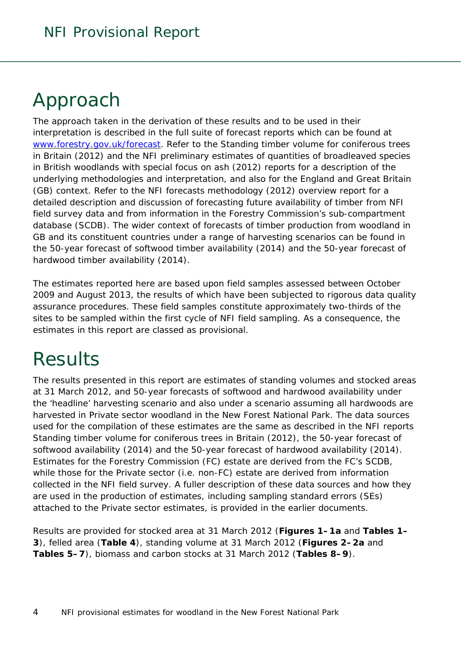## <span id="page-3-0"></span>Approach

The approach taken in the derivation of these results and to be used in their interpretation is described in the full suite of forecast reports which can be found at [www.forestry.gov.uk/forecast.](http://www.forestry.gov.uk/forecast) Refer to the *Standing timber volume for coniferous trees in Britain* (2012) and the *NFI preliminary estimates of quantities of broadleaved species in British woodlands with special focus on ash* (2012) reports for a description of the underlying methodologies and interpretation, and also for the England and Great Britain (GB) context. Refer to the *NFI forecasts methodology* (2012) overview report for a detailed description and discussion of forecasting future availability of timber from NFI field survey data and from information in the Forestry Commission's sub-compartment database (SCDB). The wider context of forecasts of timber production from woodland in GB and its constituent countries under a range of harvesting scenarios can be found in the *50-year forecast of softwood timber availability* (2014) and the *50-year forecast of hardwood timber availability* (2014).

The estimates reported here are based upon field samples assessed between October 2009 and August 2013, the results of which have been subjected to rigorous data quality assurance procedures. These field samples constitute approximately two-thirds of the sites to be sampled within the first cycle of NFI field sampling. As a consequence, the estimates in this report are classed as provisional.

## <span id="page-3-1"></span>**Results**

The results presented in this report are estimates of standing volumes and stocked areas at 31 March 2012, and 50-year forecasts of softwood and hardwood availability under the 'headline' harvesting scenario and also under a scenario assuming all hardwoods are harvested in Private sector woodland in the New Forest National Park. The data sources used for the compilation of these estimates are the same as described in the NFI reports *Standing timber volume for coniferous trees in Britain* (2012), the *50-year forecast of softwood availability* (2014) and the *50-year forecast of hardwood availability* (2014). Estimates for the Forestry Commission (FC) estate are derived from the FC's SCDB, while those for the Private sector (i.e. non-FC) estate are derived from information collected in the NFI field survey. A fuller description of these data sources and how they are used in the production of estimates, including sampling standard errors (SEs) attached to the Private sector estimates, is provided in the earlier documents.

Results are provided for stocked area at 31 March 2012 (**Figures 1–1a** and **Tables 1– 3**), felled area (**Table 4**), standing volume at 31 March 2012 (**Figures 2–2a** and **Tables 5–7**), biomass and carbon stocks at 31 March 2012 (**Tables 8–9**).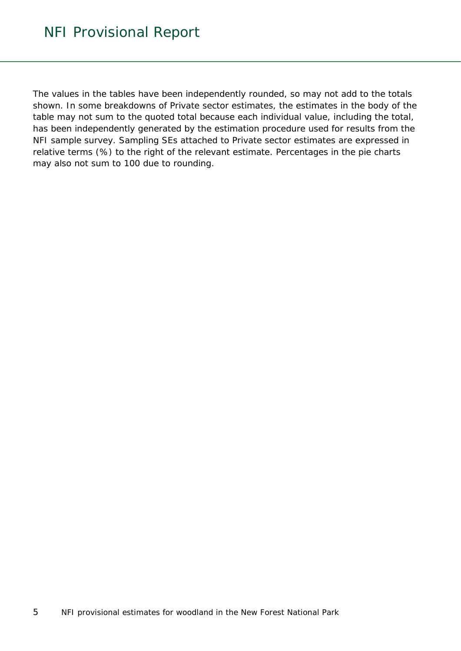The values in the tables have been independently rounded, so may not add to the totals shown. In some breakdowns of Private sector estimates, the estimates in the body of the table may not sum to the quoted total because each individual value, including the total, has been independently generated by the estimation procedure used for results from the NFI sample survey. Sampling SEs attached to Private sector estimates are expressed in relative terms (%) to the right of the relevant estimate. Percentages in the pie charts may also not sum to 100 due to rounding.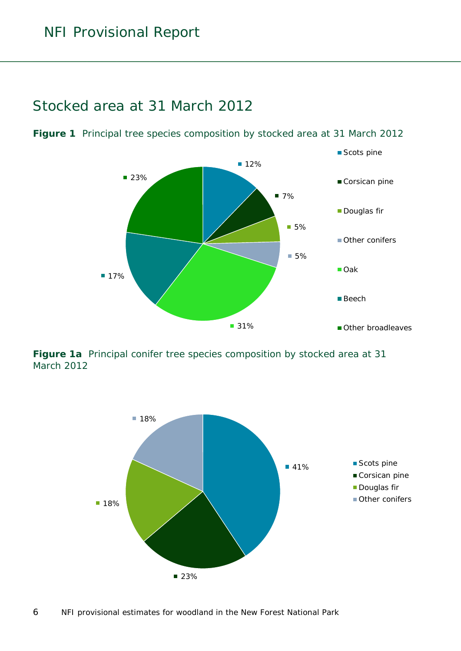### <span id="page-5-0"></span>Stocked area at 31 March 2012

<span id="page-5-1"></span>**Figure 1** Principal tree species composition by stocked area at 31 March 2012



<span id="page-5-2"></span>**Figure 1a** Principal conifer tree species composition by stocked area at 31 March 2012

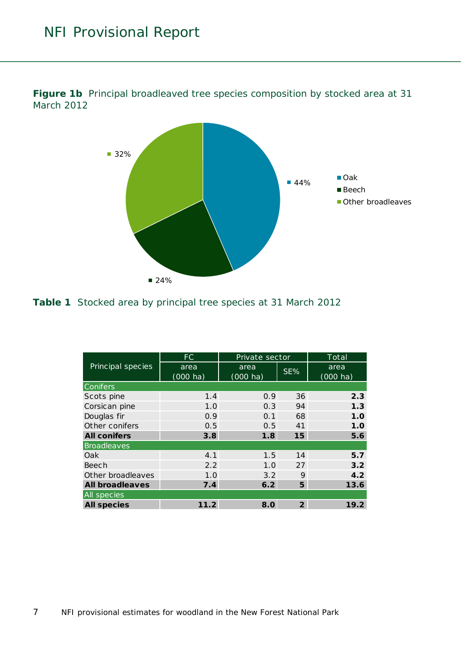

<span id="page-6-0"></span>**Figure 1b** Principal broadleaved tree species composition by stocked area at 31 March 2012

<span id="page-6-1"></span>**Table 1** Stocked area by principal tree species at 31 March 2012

|                        | FC                         | Private sector             |                | Total                      |
|------------------------|----------------------------|----------------------------|----------------|----------------------------|
| Principal species      | area<br>$(000 \text{ ha})$ | area<br>$(000 \text{ ha})$ | SE%            | area<br>$(000 \text{ ha})$ |
| Conifers               |                            |                            |                |                            |
| Scots pine             | 1.4                        | 0.9                        | 36             | 2.3                        |
| Corsican pine          | 1.0                        | 0.3                        | 94             | 1.3                        |
| Douglas fir            | 0.9                        | 0.1                        | 68             | 1.0                        |
| Other conifers         | 0.5                        | 0.5                        | 41             | 1.0                        |
| <b>All conifers</b>    | 3.8                        | 1.8                        | 15             | 5.6                        |
| <b>Broadleaves</b>     |                            |                            |                |                            |
| Oak                    | 4.1                        | 1.5                        | 14             | 5.7                        |
| Beech                  | 2.2                        | 1.0                        | 27             | 3.2                        |
| Other broadleaves      | 1.0                        | 3.2                        | 9              | 4.2                        |
| <b>All broadleaves</b> | 7.4                        | 6.2                        | 5              | 13.6                       |
| All species            |                            |                            |                |                            |
| <b>All species</b>     | 11.2                       | 8.0                        | $\overline{2}$ | 19.2                       |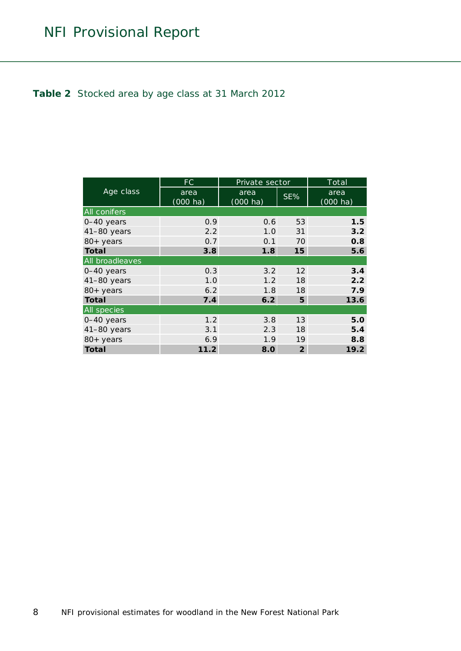#### <span id="page-7-0"></span>**Table 2** Stocked area by age class at 31 March 2012

|                     | FC.                        | Private sector             |                   | Total                      |
|---------------------|----------------------------|----------------------------|-------------------|----------------------------|
| Age class           | area<br>$(000 \text{ ha})$ | area<br>$(000 \text{ ha})$ | SE%               | area<br>$(000 \text{ ha})$ |
| <b>All conifers</b> |                            |                            |                   |                            |
| 0-40 years          | 0.9                        | 0.6                        | 53                | 1.5                        |
| $41-80$ years       | 2.2                        | 1.0                        | 31                | 3.2                        |
| 80+ years           | 0.7                        | 0.1                        | 70                | 0.8                        |
| <b>Total</b>        | 3.8                        | 1.8                        | 15                | 5.6                        |
| All broadleaves     |                            |                            |                   |                            |
| 0-40 years          | 0.3                        | 3.2                        | $12 \overline{ }$ | 3.4                        |
| 41-80 years         | 1.0                        | 1.2                        | 18                | 2.2                        |
| 80+ years           | 6.2                        | 1.8                        | 18                | 7.9                        |
| <b>Total</b>        | 7.4                        | 6.2                        | 5                 | 13.6                       |
| <b>All species</b>  |                            |                            |                   |                            |
| 0-40 years          | 1.2                        | 3.8                        | 13                | 5.0                        |
| $41-80$ years       | 3.1                        | 2.3                        | 18                | 5.4                        |
| 80+ years           | 6.9                        | 1.9                        | 19                | 8.8                        |
| <b>Total</b>        | 11.2                       | 8.0                        | $\overline{2}$    | 19.2                       |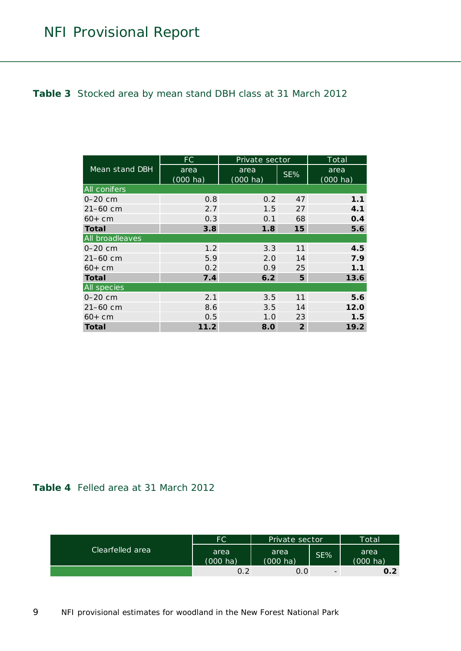#### <span id="page-8-0"></span>**Table 3** Stocked area by mean stand DBH class at 31 March 2012

|                     | FC                 | Private sector     |                | Total              |
|---------------------|--------------------|--------------------|----------------|--------------------|
| Mean stand DBH      | area               | area               | $SE\%$         | area               |
|                     | $(000 \text{ ha})$ | $(000 \text{ ha})$ |                | $(000 \text{ ha})$ |
| <b>All conifers</b> |                    |                    |                |                    |
| $0 - 20$ cm         | 0.8                | 0.2                | 47             | 1.1                |
| $21 - 60$ cm        | 2.7                | 1.5                | 27             | 4.1                |
| $60+cm$             | 0.3                | 0.1                | 68             | 0.4                |
| <b>Total</b>        | 3.8                | 1.8                | 15             | 5.6                |
| All broadleaves     |                    |                    |                |                    |
| $0 - 20$ cm         | 1.2                | 3.3                | 11             | 4.5                |
| $21 - 60$ cm        | 5.9                | 2.0                | 14             | 7.9                |
| $60+cm$             | 0.2                | 0.9                | 25             | 1.1                |
| <b>Total</b>        | 7.4                | 6.2                | 5              | 13.6               |
| <b>All species</b>  |                    |                    |                |                    |
| $0 - 20$ cm         | 2.1                | 3.5                | 11             | 5.6                |
| 21-60 cm            | 8.6                | 3.5                | 14             | 12.0               |
| $60+cm$             | 0.5                | 1.0                | 23             | 1.5                |
| Total               | 11.2               | 8.0                | $\overline{2}$ | 19.2               |

#### <span id="page-8-1"></span>**Table 4** Felled area at 31 March 2012

|                  | FC.                        | Private sector             |                          | Total'                     |
|------------------|----------------------------|----------------------------|--------------------------|----------------------------|
| Clearfelled area | area<br>$(000 \text{ ha})$ | area<br>$(000 \text{ ha})$ | SE%                      | area<br>$(000 \text{ ha})$ |
|                  | 0.2                        | 0.0                        | $\overline{\phantom{0}}$ | 0.2                        |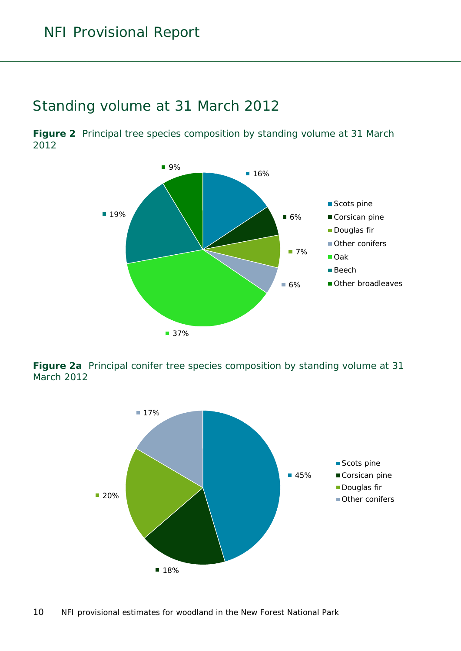### <span id="page-9-0"></span>Standing volume at 31 March 2012

<span id="page-9-1"></span>**Figure 2** Principal tree species composition by standing volume at 31 March 2012



<span id="page-9-2"></span>**Figure 2a** Principal conifer tree species composition by standing volume at 31 March 2012

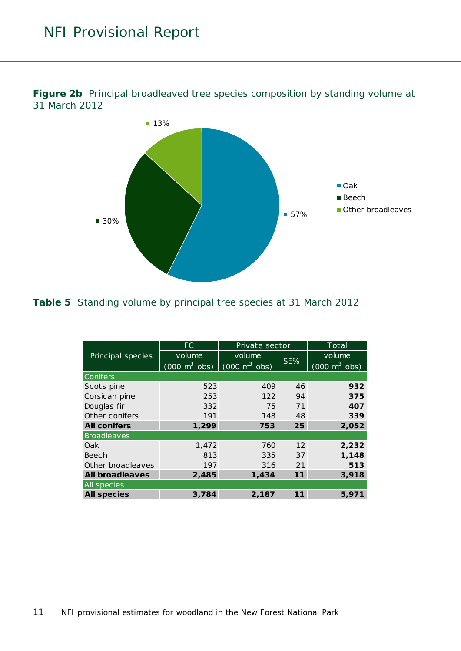

<span id="page-10-0"></span>**Figure 2b** Principal broadleaved tree species composition by standing volume at 31 March 2012

#### <span id="page-10-1"></span>**Table 5** Standing volume by principal tree species at 31 March 2012

|                        | FC.                                                             | Private sector |     | Total                           |
|------------------------|-----------------------------------------------------------------|----------------|-----|---------------------------------|
| Principal species      | volume                                                          | volume         |     | volume                          |
|                        | $(000 \text{ m}^3 \text{ obs})$ $(000 \text{ m}^3 \text{ obs})$ |                | SE% | $(000 \text{ m}^3 \text{ obs})$ |
| <b>Conifers</b>        |                                                                 |                |     |                                 |
| Scots pine             | 523                                                             | 409            | 46  | 932                             |
| Corsican pine          | 253                                                             | 122            | 94  | 375                             |
| Douglas fir            | 332                                                             | 75             | 71  | 407                             |
| Other conifers         | 191                                                             | 148            | 48  | 339                             |
| <b>All conifers</b>    | 1,299                                                           | 753            | 25  | 2,052                           |
| Broadleaves            |                                                                 |                |     |                                 |
| Oak                    | 1,472                                                           | 760            | 12  | 2,232                           |
| Beech                  | 813                                                             | 335            | 37  | 1,148                           |
| Other broadleaves      | 197                                                             | 316            | 21  | 513                             |
| <b>All broadleaves</b> | 2,485                                                           | 1,434          | 11  | 3,918                           |
| <b>All species</b>     |                                                                 |                |     |                                 |
| <b>All species</b>     | 3,784                                                           | 2,187          | 11  | 5,971                           |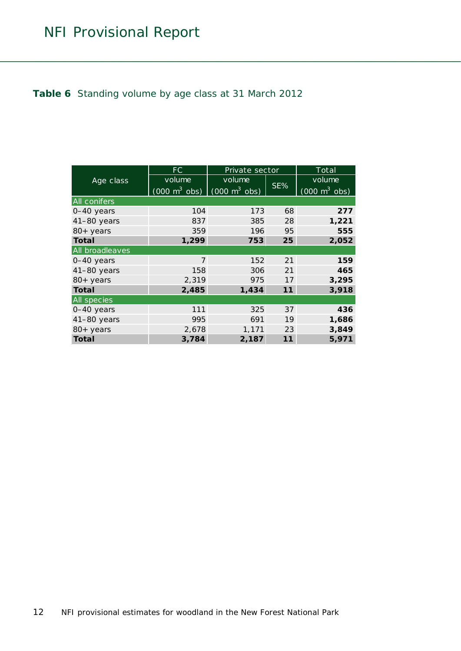#### <span id="page-11-0"></span>**Table 6** Standing volume by age class at 31 March 2012

|                     | FC.                             | Private sector                  |     | Total                                  |
|---------------------|---------------------------------|---------------------------------|-----|----------------------------------------|
| Age class           | volume                          | volume                          |     | volume                                 |
|                     | $(000 \text{ m}^3 \text{ obs})$ | $(000 \text{ m}^3 \text{ obs})$ | SE% | $\sqrt{(000 \text{ m}^3 \text{ obs})}$ |
| <b>All conifers</b> |                                 |                                 |     |                                        |
| 0-40 years          | 104                             | 173                             | 68  | 277                                    |
| $41-80$ years       | 837                             | 385                             | 28  | 1,221                                  |
| 80+ years           | 359                             | 196                             | 95  | 555                                    |
| <b>Total</b>        | 1,299                           | 753                             | 25  | 2,052                                  |
| All broadleaves     |                                 |                                 |     |                                        |
| 0-40 years          | $\overline{7}$                  | 152                             | 21  | 159                                    |
| $41-80$ years       | 158                             | 306                             | 21  | 465                                    |
| $80+$ years         | 2,319                           | 975                             | 17  | 3,295                                  |
| <b>Total</b>        | 2,485                           | 1,434                           | 11  | 3,918                                  |
| <b>All species</b>  |                                 |                                 |     |                                        |
| 0-40 years          | 111                             | 325                             | 37  | 436                                    |
| $41-80$ years       | 995                             | 691                             | 19  | 1,686                                  |
| 80+ years           | 2,678                           | 1,171                           | 23  | 3,849                                  |
| <b>Total</b>        | 3,784                           | 2,187                           | 11  | 5,971                                  |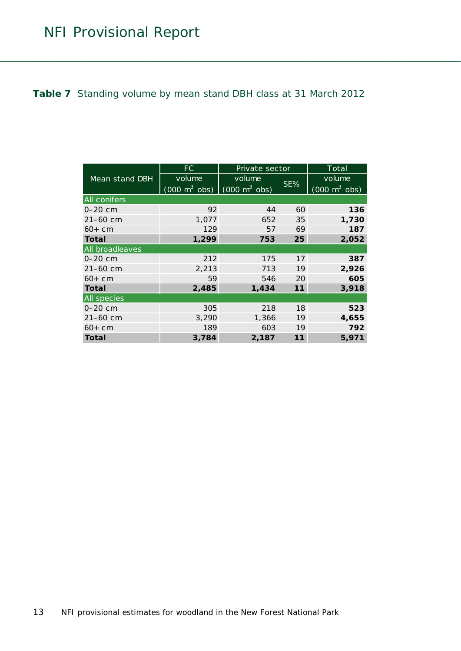#### <span id="page-12-0"></span>**Table 7** Standing volume by mean stand DBH class at 31 March 2012

|                     | FC                              | Private sector                  |     | Total                                  |
|---------------------|---------------------------------|---------------------------------|-----|----------------------------------------|
| Mean stand DBH      | volume                          | volume                          |     | volume                                 |
|                     | $(000 \text{ m}^3 \text{ obs})$ | $(000 \text{ m}^3 \text{ obs})$ | SE% | $\sqrt{(000 \text{ m}^3 \text{ obs})}$ |
| <b>All conifers</b> |                                 |                                 |     |                                        |
| $0 - 20$ cm         | 92                              | 44                              | 60  | 136                                    |
| 21-60 cm            | 1,077                           | 652                             | 35  | 1,730                                  |
| $60+cm$             | 129                             | 57                              | 69  | 187                                    |
| <b>Total</b>        | 1,299                           | 753                             | 25  | 2,052                                  |
| All broadleaves     |                                 |                                 |     |                                        |
| $0 - 20$ cm         | 212                             | 175                             | 17  | 387                                    |
| $21 - 60$ cm        | 2,213                           | 713                             | 19  | 2,926                                  |
| $60+cm$             | 59                              | 546                             | 20  | 605                                    |
| <b>Total</b>        | 2,485                           | 1,434                           | 11  | 3,918                                  |
| All species         |                                 |                                 |     |                                        |
| $0 - 20$ cm         | 305                             | 218                             | 18  | 523                                    |
| 21-60 cm            | 3,290                           | 1,366                           | 19  | 4,655                                  |
| $60+cm$             | 189                             | 603                             | 19  | 792                                    |
| Total               | 3,784                           | 2,187                           | 11  | 5,971                                  |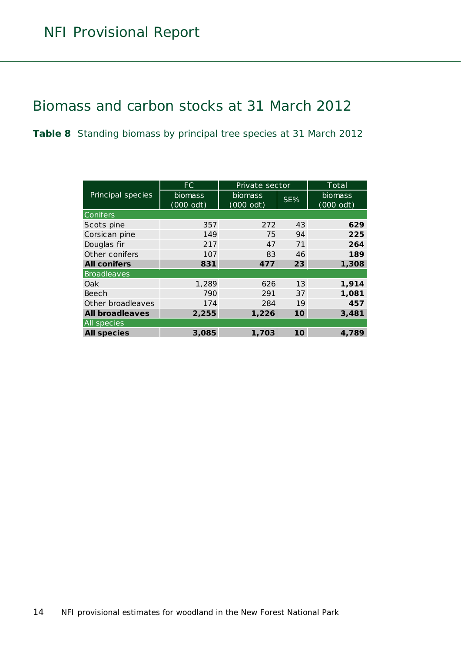### <span id="page-13-0"></span>Biomass and carbon stocks at 31 March 2012

<span id="page-13-1"></span>**Table 8** Standing biomass by principal tree species at 31 March 2012

|                        | FC.         | Private sector |     | Total          |
|------------------------|-------------|----------------|-----|----------------|
| Principal species      | biomass     | <b>biomass</b> | SE% | <b>biomass</b> |
|                        | $(000$ odt) | $(000$ odt)    |     | $(000$ odt)    |
| <b>Conifers</b>        |             |                |     |                |
| Scots pine             | 357         | 272            | 43  | 629            |
| Corsican pine          | 149         | 75             | 94  | 225            |
| Douglas fir            | 217         | 47             | 71  | 264            |
| Other conifers         | 107         | 83             | 46  | 189            |
| <b>All conifers</b>    | 831         | 477            | 23  | 1,308          |
| Broadleaves            |             |                |     |                |
| Oak                    | 1,289       | 626            | 13  | 1,914          |
| Beech                  | 790         | 291            | 37  | 1,081          |
| Other broadleaves      | 174         | 284            | 19  | 457            |
| <b>All broadleaves</b> | 2,255       | 1,226          | 10  | 3,481          |
| <b>All species</b>     |             |                |     |                |
| <b>All species</b>     | 3,085       | 1,703          | 10  | 4,789          |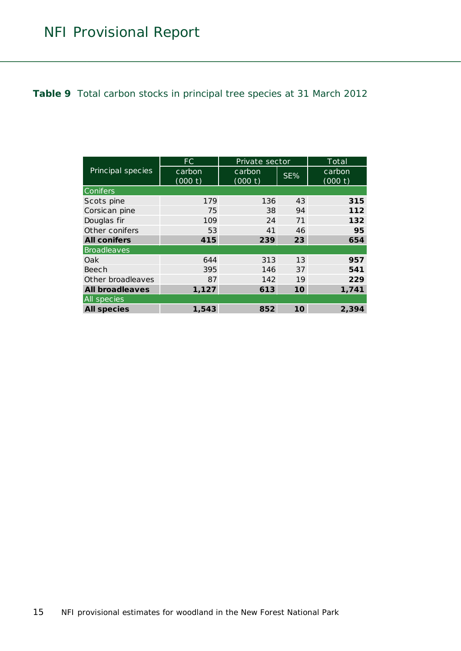<span id="page-14-0"></span>**Table 9** Total carbon stocks in principal tree species at 31 March 2012

|                        | FC.               | Private sector    |     | Total             |
|------------------------|-------------------|-------------------|-----|-------------------|
| Principal species      | carbon<br>(000 t) | carbon<br>(000 t) | SE% | carbon<br>(000 t) |
| <b>Conifers</b>        |                   |                   |     |                   |
|                        |                   |                   |     |                   |
| Scots pine             | 179               | 136               | 43  | 315               |
| Corsican pine          | 75                | 38                | 94  | 112               |
| Douglas fir            | 109               | 24                | 71  | 132               |
| Other conifers         | 53                | 41                | 46  | 95                |
| <b>All conifers</b>    | 415               | 239               | 23  | 654               |
| Broadleaves            |                   |                   |     |                   |
| Oak                    | 644               | 313               | 13  | 957               |
| Beech                  | 395               | 146               | 37  | 541               |
| Other broadleaves      | 87                | 142               | 19  | 229               |
| <b>All broadleaves</b> | 1,127             | 613               | 10  | 1,741             |
| <b>All species</b>     |                   |                   |     |                   |
| <b>All species</b>     | 1,543             | 852               | 10  | 2,394             |